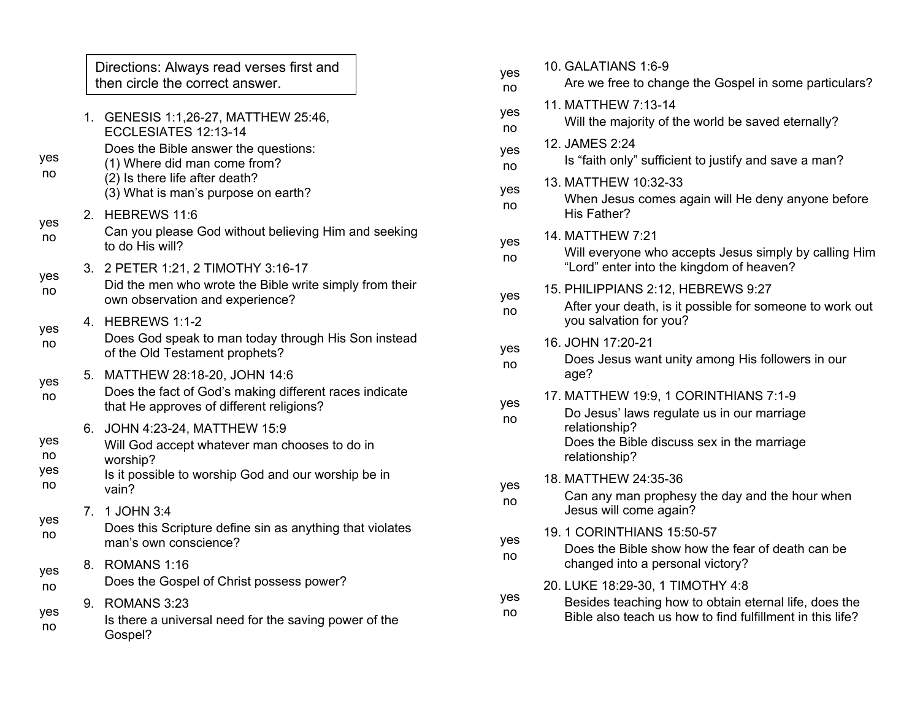|                        |         | Directions: Always read verses first and<br>then circle the correct answer.                                                                             |  | у      |
|------------------------|---------|---------------------------------------------------------------------------------------------------------------------------------------------------------|--|--------|
| yes<br>no              | 1.      | GENESIS 1:1,26-27, MATTHEW 25:46,<br>ECCLESIATES 12:13-14<br>Does the Bible answer the questions:<br>(1) Where did man come from?                       |  | у<br>у |
|                        |         | (2) Is there life after death?<br>(3) What is man's purpose on earth?                                                                                   |  | у      |
| yes<br>no              | $2_{-}$ | HEBREWS 11:6<br>Can you please God without believing Him and seeking<br>to do His will?                                                                 |  | у      |
| yes<br>no              | 3.      | 2 PETER 1:21, 2 TIMOTHY 3:16-17<br>Did the men who wrote the Bible write simply from their<br>own observation and experience?                           |  |        |
| yes<br>no              | 4.      | HEBREWS 1:1-2<br>Does God speak to man today through His Son instead<br>of the Old Testament prophets?                                                  |  | y      |
| yes<br>no              | 5.      | MATTHEW 28:18-20, JOHN 14:6<br>Does the fact of God's making different races indicate<br>that He approves of different religions?                       |  | у      |
| yes<br>no<br>yes<br>no | 6.      | JOHN 4:23-24, MATTHEW 15:9<br>Will God accept whatever man chooses to do in<br>worship?<br>Is it possible to worship God and our worship be in<br>vain? |  | ١      |
| yes<br>no              | 7.      | 1 JOHN 3:4<br>Does this Scripture define sin as anything that violates<br>man's own conscience?                                                         |  | ١      |
| yes<br>no              | 8.      | ROMANS 1:16<br>Does the Gospel of Christ possess power?                                                                                                 |  |        |
| yes<br>no              | 9.      | ROMANS 3:23<br>Is there a universal need for the saving power of the<br>Gospel?                                                                         |  | y      |

| yes<br>no | 10. GALATIANS 1:6-9<br>Are we free to change the Gospel in some particulars?                                                                                        |  |
|-----------|---------------------------------------------------------------------------------------------------------------------------------------------------------------------|--|
| yes<br>no | 11. MATTHEW 7:13-14<br>Will the majority of the world be saved eternally?                                                                                           |  |
| yes<br>no | 12. JAMES 2:24<br>Is "faith only" sufficient to justify and save a man?                                                                                             |  |
| yes<br>no | 13. MATTHEW 10:32-33<br>When Jesus comes again will He deny anyone before<br>His Father?                                                                            |  |
| yes<br>no | 14. MATTHEW 7:21<br>Will everyone who accepts Jesus simply by calling Him<br>"Lord" enter into the kingdom of heaven?                                               |  |
| yes<br>no | 15. PHILIPPIANS 2:12, HEBREWS 9:27<br>After your death, is it possible for someone to work out<br>you salvation for you?                                            |  |
| yes<br>no | 16. JOHN 17:20-21<br>Does Jesus want unity among His followers in our<br>age?                                                                                       |  |
| yes<br>no | 17. MATTHEW 19:9, 1 CORINTHIANS 7:1-9<br>Do Jesus' laws regulate us in our marriage<br>relationship?<br>Does the Bible discuss sex in the marriage<br>relationship? |  |
| yes<br>no | 18. MATTHEW 24:35-36<br>Can any man prophesy the day and the hour when<br>Jesus will come again?                                                                    |  |
| yes<br>no | 19.1 CORINTHIANS 15:50-57<br>Does the Bible show how the fear of death can be<br>changed into a personal victory?                                                   |  |
| yes<br>no | 20. LUKE 18:29-30, 1 TIMOTHY 4:8<br>Besides teaching how to obtain eternal life, does the<br>Bible also teach us how to find fulfillment in this life?              |  |
|           |                                                                                                                                                                     |  |